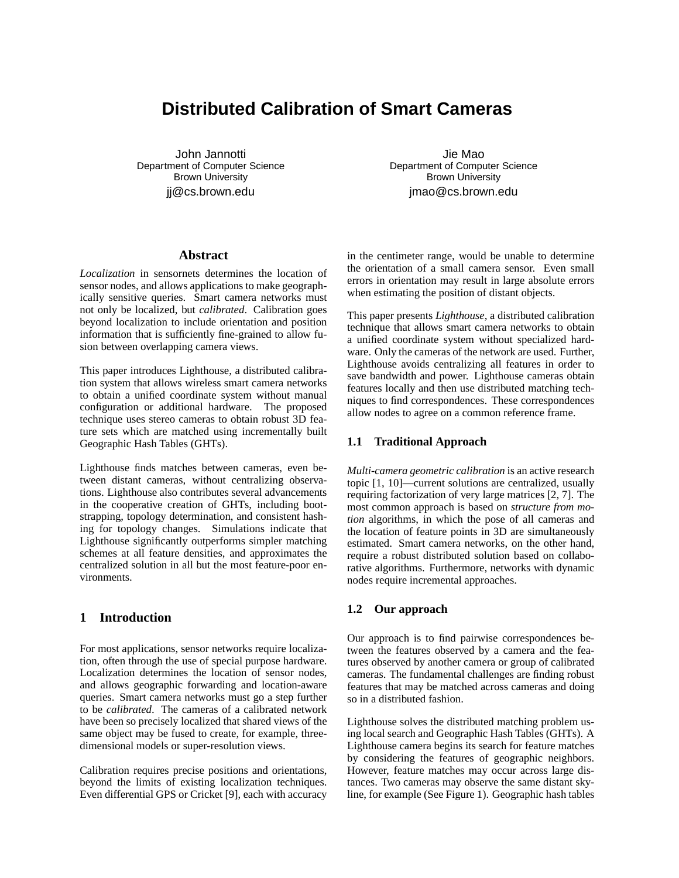# **Distributed Calibration of Smart Cameras**

John Jannotti Department of Computer Science Brown University jj@cs.brown.edu

Jie Mao Department of Computer Science Brown University jmao@cs.brown.edu

## **Abstract**

*Localization* in sensornets determines the location of sensor nodes, and allows applications to make geographically sensitive queries. Smart camera networks must not only be localized, but *calibrated*. Calibration goes beyond localization to include orientation and position information that is sufficiently fine-grained to allow fusion between overlapping camera views.

This paper introduces Lighthouse, a distributed calibration system that allows wireless smart camera networks to obtain a unified coordinate system without manual configuration or additional hardware. The proposed technique uses stereo cameras to obtain robust 3D feature sets which are matched using incrementally built Geographic Hash Tables (GHTs).

Lighthouse finds matches between cameras, even between distant cameras, without centralizing observations. Lighthouse also contributes several advancements in the cooperative creation of GHTs, including bootstrapping, topology determination, and consistent hashing for topology changes. Simulations indicate that Lighthouse significantly outperforms simpler matching schemes at all feature densities, and approximates the centralized solution in all but the most feature-poor environments.

### **1 Introduction**

For most applications, sensor networks require localization, often through the use of special purpose hardware. Localization determines the location of sensor nodes, and allows geographic forwarding and location-aware queries. Smart camera networks must go a step further to be *calibrated*. The cameras of a calibrated network have been so precisely localized that shared views of the same object may be fused to create, for example, threedimensional models or super-resolution views.

Calibration requires precise positions and orientations, beyond the limits of existing localization techniques. Even differential GPS or Cricket [9], each with accuracy in the centimeter range, would be unable to determine the orientation of a small camera sensor. Even small errors in orientation may result in large absolute errors when estimating the position of distant objects.

This paper presents *Lighthouse*, a distributed calibration technique that allows smart camera networks to obtain a unified coordinate system without specialized hardware. Only the cameras of the network are used. Further, Lighthouse avoids centralizing all features in order to save bandwidth and power. Lighthouse cameras obtain features locally and then use distributed matching techniques to find correspondences. These correspondences allow nodes to agree on a common reference frame.

#### **1.1 Traditional Approach**

*Multi-camera geometric calibration* is an active research topic [1, 10]—current solutions are centralized, usually requiring factorization of very large matrices [2, 7]. The most common approach is based on *structure from motion* algorithms, in which the pose of all cameras and the location of feature points in 3D are simultaneously estimated. Smart camera networks, on the other hand, require a robust distributed solution based on collaborative algorithms. Furthermore, networks with dynamic nodes require incremental approaches.

## **1.2 Our approach**

Our approach is to find pairwise correspondences between the features observed by a camera and the features observed by another camera or group of calibrated cameras. The fundamental challenges are finding robust features that may be matched across cameras and doing so in a distributed fashion.

Lighthouse solves the distributed matching problem using local search and Geographic Hash Tables (GHTs). A Lighthouse camera begins its search for feature matches by considering the features of geographic neighbors. However, feature matches may occur across large distances. Two cameras may observe the same distant skyline, for example (See Figure 1). Geographic hash tables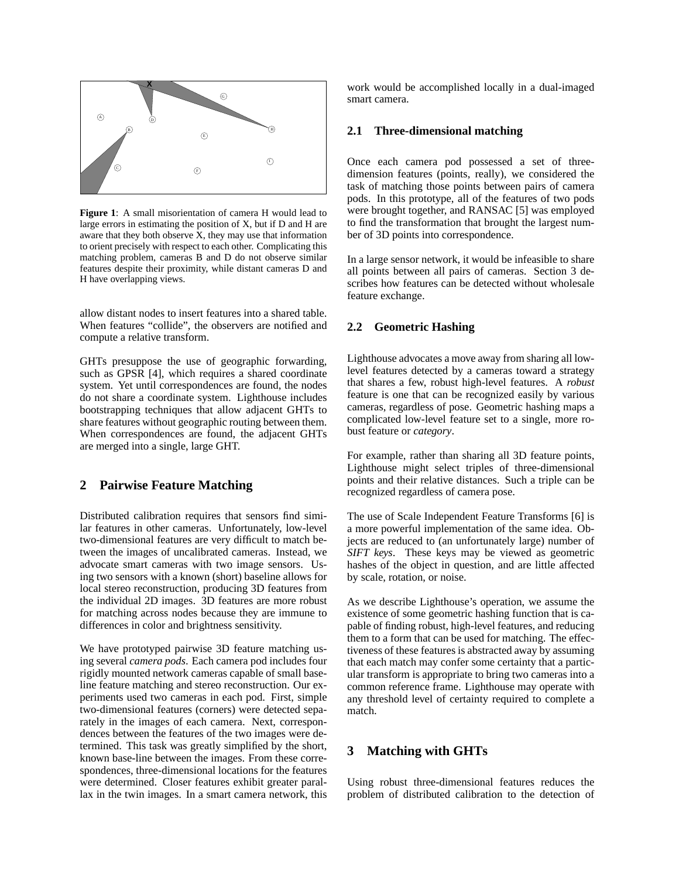

**Figure 1**: A small misorientation of camera H would lead to large errors in estimating the position of X, but if D and H are aware that they both observe  $\overline{X}$ , they may use that information to orient precisely with respect to each other. Complicating this matching problem, cameras B and D do not observe similar features despite their proximity, while distant cameras D and H have overlapping views.

allow distant nodes to insert features into a shared table. When features "collide", the observers are notified and compute a relative transform.

GHTs presuppose the use of geographic forwarding, such as GPSR [4], which requires a shared coordinate system. Yet until correspondences are found, the nodes do not share a coordinate system. Lighthouse includes bootstrapping techniques that allow adjacent GHTs to share features without geographic routing between them. When correspondences are found, the adjacent GHTs are merged into a single, large GHT.

## **2 Pairwise Feature Matching**

Distributed calibration requires that sensors find similar features in other cameras. Unfortunately, low-level two-dimensional features are very difficult to match between the images of uncalibrated cameras. Instead, we advocate smart cameras with two image sensors. Using two sensors with a known (short) baseline allows for local stereo reconstruction, producing 3D features from the individual 2D images. 3D features are more robust for matching across nodes because they are immune to differences in color and brightness sensitivity.

We have prototyped pairwise 3D feature matching using several *camera pods*. Each camera pod includes four rigidly mounted network cameras capable of small baseline feature matching and stereo reconstruction. Our experiments used two cameras in each pod. First, simple two-dimensional features (corners) were detected separately in the images of each camera. Next, correspondences between the features of the two images were determined. This task was greatly simplified by the short, known base-line between the images. From these correspondences, three-dimensional locations for the features were determined. Closer features exhibit greater parallax in the twin images. In a smart camera network, this

work would be accomplished locally in a dual-imaged smart camera.

## **2.1 Three-dimensional matching**

Once each camera pod possessed a set of threedimension features (points, really), we considered the task of matching those points between pairs of camera pods. In this prototype, all of the features of two pods were brought together, and RANSAC [5] was employed to find the transformation that brought the largest number of 3D points into correspondence.

In a large sensor network, it would be infeasible to share all points between all pairs of cameras. Section 3 describes how features can be detected without wholesale feature exchange.

#### **2.2 Geometric Hashing**

Lighthouse advocates a move away from sharing all lowlevel features detected by a cameras toward a strategy that shares a few, robust high-level features. A *robust* feature is one that can be recognized easily by various cameras, regardless of pose. Geometric hashing maps a complicated low-level feature set to a single, more robust feature or *category*.

For example, rather than sharing all 3D feature points, Lighthouse might select triples of three-dimensional points and their relative distances. Such a triple can be recognized regardless of camera pose.

The use of Scale Independent Feature Transforms [6] is a more powerful implementation of the same idea. Objects are reduced to (an unfortunately large) number of *SIFT keys*. These keys may be viewed as geometric hashes of the object in question, and are little affected by scale, rotation, or noise.

As we describe Lighthouse's operation, we assume the existence of some geometric hashing function that is capable of finding robust, high-level features, and reducing them to a form that can be used for matching. The effectiveness of these features is abstracted away by assuming that each match may confer some certainty that a particular transform is appropriate to bring two cameras into a common reference frame. Lighthouse may operate with any threshold level of certainty required to complete a match.

## **3 Matching with GHTs**

Using robust three-dimensional features reduces the problem of distributed calibration to the detection of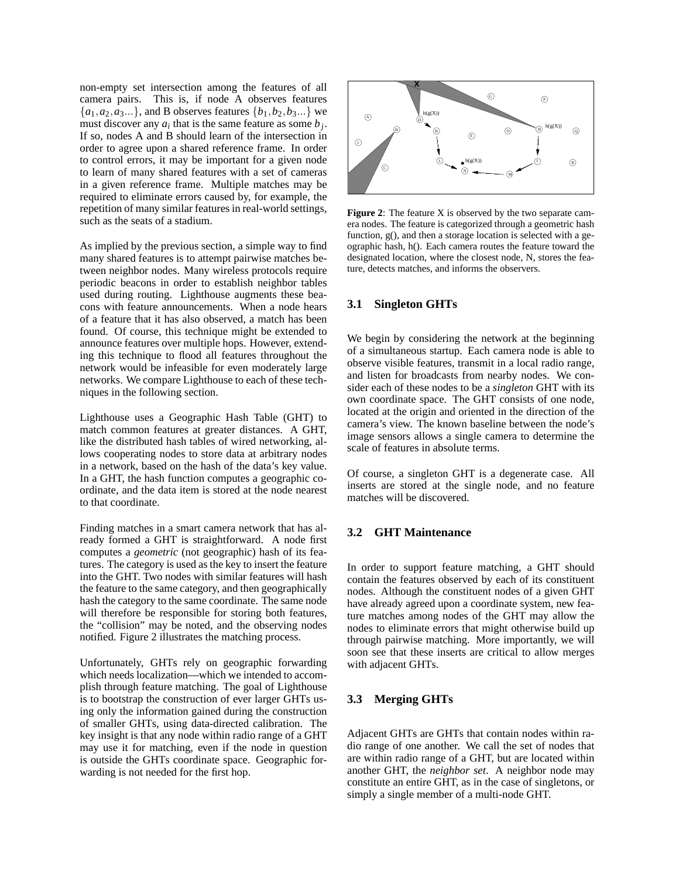non-empty set intersection among the features of all camera pairs. This is, if node A observes features  ${a_1, a_2, a_3...}$ , and B observes features  ${b_1, b_2, b_3...}$  we must discover any  $a_i$  that is the same feature as some  $b_j$ . If so, nodes A and B should learn of the intersection in order to agree upon a shared reference frame. In order to control errors, it may be important for a given node to learn of many shared features with a set of cameras in a given reference frame. Multiple matches may be required to eliminate errors caused by, for example, the repetition of many similar features in real-world settings, such as the seats of a stadium.

As implied by the previous section, a simple way to find many shared features is to attempt pairwise matches between neighbor nodes. Many wireless protocols require periodic beacons in order to establish neighbor tables used during routing. Lighthouse augments these beacons with feature announcements. When a node hears of a feature that it has also observed, a match has been found. Of course, this technique might be extended to announce features over multiple hops. However, extending this technique to flood all features throughout the network would be infeasible for even moderately large networks. We compare Lighthouse to each of these techniques in the following section.

Lighthouse uses a Geographic Hash Table (GHT) to match common features at greater distances. A GHT, like the distributed hash tables of wired networking, allows cooperating nodes to store data at arbitrary nodes in a network, based on the hash of the data's key value. In a GHT, the hash function computes a geographic coordinate, and the data item is stored at the node nearest to that coordinate.

Finding matches in a smart camera network that has already formed a GHT is straightforward. A node first computes a *geometric* (not geographic) hash of its features. The category is used as the key to insert the feature into the GHT. Two nodes with similar features will hash the feature to the same category, and then geographically hash the category to the same coordinate. The same node will therefore be responsible for storing both features, the "collision" may be noted, and the observing nodes notified. Figure 2 illustrates the matching process.

Unfortunately, GHTs rely on geographic forwarding which needs localization—which we intended to accomplish through feature matching. The goal of Lighthouse is to bootstrap the construction of ever larger GHTs using only the information gained during the construction of smaller GHTs, using data-directed calibration. The key insight is that any node within radio range of a GHT may use it for matching, even if the node in question is outside the GHTs coordinate space. Geographic forwarding is not needed for the first hop.



**Figure 2**: The feature X is observed by the two separate camera nodes. The feature is categorized through a geometric hash function, g(), and then a storage location is selected with a geographic hash, h(). Each camera routes the feature toward the designated location, where the closest node, N, stores the feature, detects matches, and informs the observers.

## **3.1 Singleton GHTs**

We begin by considering the network at the beginning of a simultaneous startup. Each camera node is able to observe visible features, transmit in a local radio range, and listen for broadcasts from nearby nodes. We consider each of these nodes to be a *singleton* GHT with its own coordinate space. The GHT consists of one node, located at the origin and oriented in the direction of the camera's view. The known baseline between the node's image sensors allows a single camera to determine the scale of features in absolute terms.

Of course, a singleton GHT is a degenerate case. All inserts are stored at the single node, and no feature matches will be discovered.

## **3.2 GHT Maintenance**

In order to support feature matching, a GHT should contain the features observed by each of its constituent nodes. Although the constituent nodes of a given GHT have already agreed upon a coordinate system, new feature matches among nodes of the GHT may allow the nodes to eliminate errors that might otherwise build up through pairwise matching. More importantly, we will soon see that these inserts are critical to allow merges with adjacent GHTs.

#### **3.3 Merging GHTs**

Adjacent GHTs are GHTs that contain nodes within radio range of one another. We call the set of nodes that are within radio range of a GHT, but are located within another GHT, the *neighbor set*. A neighbor node may constitute an entire GHT, as in the case of singletons, or simply a single member of a multi-node GHT.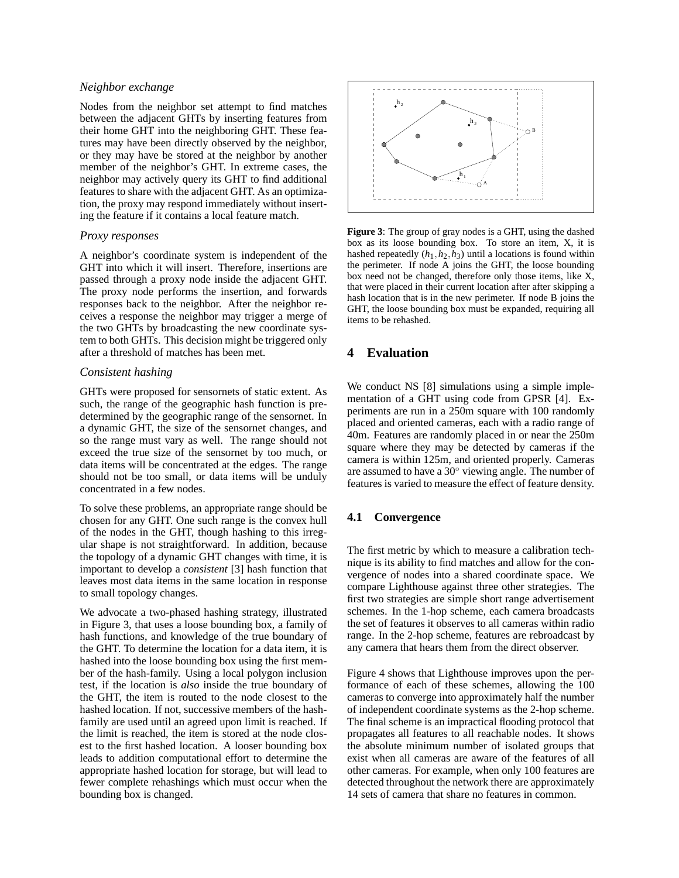### *Neighbor exchange*

Nodes from the neighbor set attempt to find matches between the adjacent GHTs by inserting features from their home GHT into the neighboring GHT. These features may have been directly observed by the neighbor, or they may have be stored at the neighbor by another member of the neighbor's GHT. In extreme cases, the neighbor may actively query its GHT to find additional features to share with the adjacent GHT. As an optimization, the proxy may respond immediately without inserting the feature if it contains a local feature match.

#### *Proxy responses*

A neighbor's coordinate system is independent of the GHT into which it will insert. Therefore, insertions are passed through a proxy node inside the adjacent GHT. The proxy node performs the insertion, and forwards responses back to the neighbor. After the neighbor receives a response the neighbor may trigger a merge of the two GHTs by broadcasting the new coordinate system to both GHTs. This decision might be triggered only after a threshold of matches has been met.

#### *Consistent hashing*

GHTs were proposed for sensornets of static extent. As such, the range of the geographic hash function is predetermined by the geographic range of the sensornet. In a dynamic GHT, the size of the sensornet changes, and so the range must vary as well. The range should not exceed the true size of the sensornet by too much, or data items will be concentrated at the edges. The range should not be too small, or data items will be unduly concentrated in a few nodes.

To solve these problems, an appropriate range should be chosen for any GHT. One such range is the convex hull of the nodes in the GHT, though hashing to this irregular shape is not straightforward. In addition, because the topology of a dynamic GHT changes with time, it is important to develop a *consistent* [3] hash function that leaves most data items in the same location in response to small topology changes.

We advocate a two-phased hashing strategy, illustrated in Figure 3, that uses a loose bounding box, a family of hash functions, and knowledge of the true boundary of the GHT. To determine the location for a data item, it is hashed into the loose bounding box using the first member of the hash-family. Using a local polygon inclusion test, if the location is *also* inside the true boundary of the GHT, the item is routed to the node closest to the hashed location. If not, successive members of the hashfamily are used until an agreed upon limit is reached. If the limit is reached, the item is stored at the node closest to the first hashed location. A looser bounding box leads to addition computational effort to determine the appropriate hashed location for storage, but will lead to fewer complete rehashings which must occur when the bounding box is changed.



**Figure 3**: The group of gray nodes is a GHT, using the dashed box as its loose bounding box. To store an item, X, it is hashed repeatedly  $(h_1, h_2, h_3)$  until a locations is found within the perimeter. If node A joins the GHT, the loose bounding box need not be changed, therefore only those items, like X, that were placed in their current location after after skipping a hash location that is in the new perimeter. If node B joins the GHT, the loose bounding box must be expanded, requiring all items to be rehashed.

## **4 Evaluation**

We conduct NS [8] simulations using a simple implementation of a GHT using code from GPSR [4]. Experiments are run in a 250m square with 100 randomly placed and oriented cameras, each with a radio range of 40m. Features are randomly placed in or near the 250m square where they may be detected by cameras if the camera is within 125m, and oriented properly. Cameras are assumed to have a 30◦ viewing angle. The number of features is varied to measure the effect of feature density.

## **4.1 Convergence**

The first metric by which to measure a calibration technique is its ability to find matches and allow for the convergence of nodes into a shared coordinate space. We compare Lighthouse against three other strategies. The first two strategies are simple short range advertisement schemes. In the 1-hop scheme, each camera broadcasts the set of features it observes to all cameras within radio range. In the 2-hop scheme, features are rebroadcast by any camera that hears them from the direct observer.

Figure 4 shows that Lighthouse improves upon the performance of each of these schemes, allowing the 100 cameras to converge into approximately half the number of independent coordinate systems as the 2-hop scheme. The final scheme is an impractical flooding protocol that propagates all features to all reachable nodes. It shows the absolute minimum number of isolated groups that exist when all cameras are aware of the features of all other cameras. For example, when only 100 features are detected throughout the network there are approximately 14 sets of camera that share no features in common.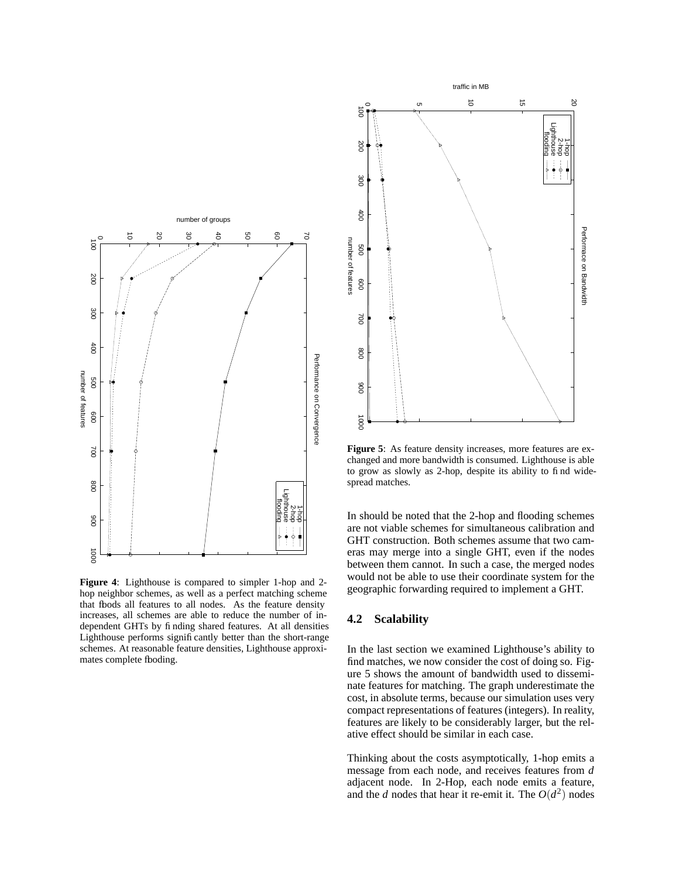

**Figure 4**: Lighthouse is compared to simpler 1-hop and 2 hop neighbor schemes, as well as a perfect matching scheme that fbods all features to all nodes. As the feature density increases, all schemes are able to reduce the number of independent GHTs by finding shared features. At all densities Lighthouse performs significantly better than the short-range schemes. At reasonable feature densities, Lighthouse approximates complete fboding.



**Figure 5**: As feature density increases, more features are exchanged and more bandwidth is consumed. Lighthouse is able to grow as slowly as 2-hop, despite its ability to find widespread matches.

In should be noted that the 2-hop and flooding schemes are not viable schemes for simultaneous calibration and GHT construction. Both schemes assume that two cameras may merge into a single GHT, even if the nodes between them cannot. In such a case, the merged nodes would not be able to use their coordinate system for the geographic forwarding required to implement a GHT.

#### **4.2 Scalability**

In the last section we examined Lighthouse's ability to find matches, we now consider the cost of doing so. Figure 5 shows the amount of bandwidth used to disseminate features for matching. The graph underestimate the cost, in absolute terms, because our simulation uses very compact representations of features (integers). In reality, features are likely to be considerably larger, but the relative effect should be similar in each case.

Thinking about the costs asymptotically, 1-hop emits a message from each node, and receives features from *d* adjacent node. In 2-Hop, each node emits a feature, and the *d* nodes that hear it re-emit it. The  $O(d^2)$  nodes